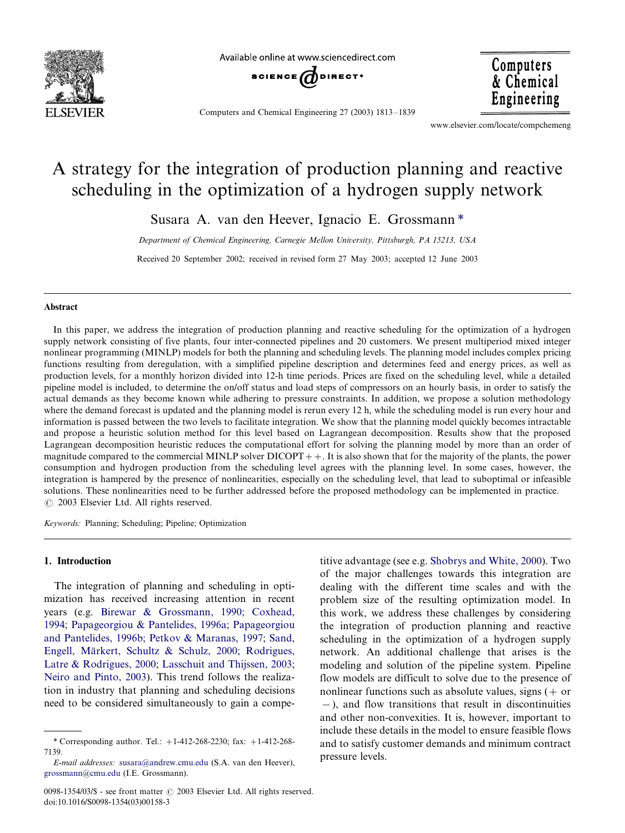

Available online at www sciencedirect com



Computers and Chemical Engineering 27 (2003) 1813-1839

www.elsevier.com/locate/compchemeng

**Computers** 

& Chemical Engineering

## A strategy for the integration of production planning and reactive scheduling in the optimization of a hydrogen supply network

Susara A. van den Heever, Ignacio E. Grossmann \*

Department of Chemical Engineering, Carnegie Mellon University, Pittsburgh, PA 15213, USA

Received 20 September 2002; received in revised form 27 May 2003; accepted 12 June 2003

## Abstract

In this paper, we address the integration of production planning and reactive scheduling for the optimization of a hydrogen supply network consisting of five plants, four inter-connected pipelines and 20 customers. We present multiperiod mixed integer nonlinear programming (MINLP) models for both the planning and scheduling levels. The planning model includes complex pricing functions resulting from deregulation, with a simplified pipeline description and determines feed and energy prices, as well as production levels, for a monthly horizon divided into 12-h time periods. Prices are fixed on the scheduling level, while a detailed pipeline model is included, to determine the on/off status and load steps of compressors on an hourly basis, in order to satisfy the actual demands as they become known while adhering to pressure constraints. In addition, we propose a solution methodology where the demand forecast is updated and the planning model is rerun every 12 h, while the scheduling model is run every hour and information is passed between the two levels to facilitate integration. We show that the planning model quickly becomes intractable and propose a heuristic solution method for this level based on Lagrangean decomposition. Results show that the proposed Lagrangean decomposition heuristic reduces the computational effort for solving the planning model by more than an order of magnitude compared to the commercial MINLP solver  $DICOPT++$ . It is also shown that for the majority of the plants, the power consumption and hydrogen production from the scheduling level agrees with the planning level. In some cases, however, the integration is hampered by the presence of nonlinearities, especially on the scheduling level, that lead to suboptimal or infeasible solutions. These nonlinearities need to be further addressed before the proposed methodology can be implemented in practice.  $\odot$  2003 Elsevier Ltd. All rights reserved.

Keywords: Planning; Scheduling; Pipeline; Optimization

## 1. Introduction

The integration of planning and scheduling in optimization has received increasing attention in recent years (e.g. [Birewar & Grossmann, 1990; Coxhead,](#page--1-0) [1994; Papageorgiou & Pantelides, 1996a; Papageorgiou](#page--1-0) [and Pantelides, 1996b; Petko](#page--1-0)v & Maranas, 1997; [Sand,](#page--1-0) Engell, Märkert, Schultz & Schulz, 2000; [Rodrigues,](#page--1-0) [Latre & Rodrigues, 2000;](#page--1-0) [Lasschuit and Thijssen, 2003](#page--1-0); [Neiro and Pinto, 2003\)](#page--1-0). This trend follows the realization in industry that planning and scheduling decisions need to be considered simultaneously to gain a compe-

titive advantage (see e.g. [Shobrys and White, 2000](#page--1-0)). Two of the major challenges towards this integration are dealing with the different time scales and with the problem size of the resulting optimization model. In this work, we address these challenges by considering the integration of production planning and reactive scheduling in the optimization of a hydrogen supply network. An additional challenge that arises is the modeling and solution of the pipeline system. Pipeline flow models are difficult to solve due to the presence of nonlinear functions such as absolute values, signs  $(+)$  or -/), and flow transitions that result in discontinuities and other non-convexities. It is, however, important to include these details in the model to ensure feasible flows and to satisfy customer demands and minimum contract pressure levels.

<sup>\*</sup> Corresponding author. Tel.:  $+1-412-268-2230$ ; fax:  $+1-412-268-$ 7139.

E-mail addresses: [susara@andrew.cmu.edu](mailto:susara@andrew.cmu.edu) (S.A. van den Heever), [grossmann@cmu.edu](mailto:grossmann@cmu.edu) (I.E. Grossmann).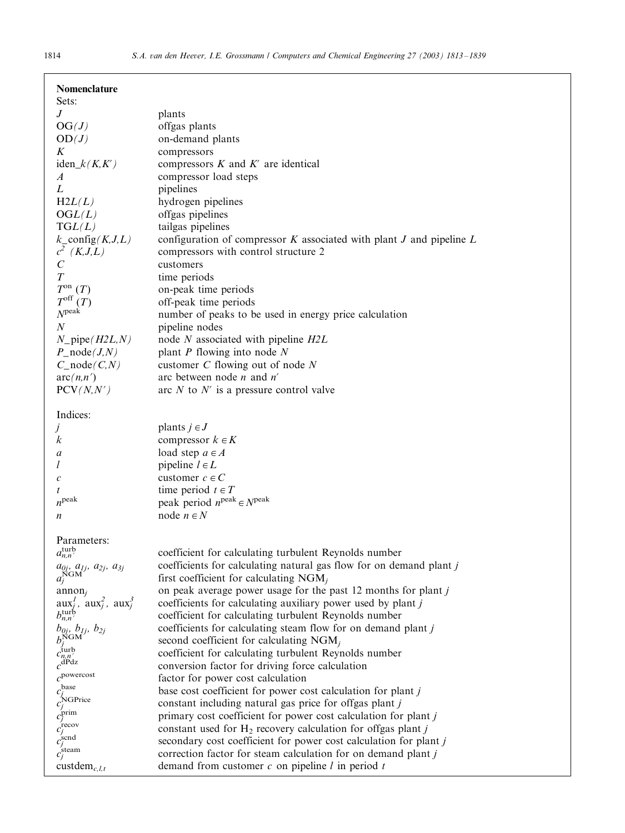| Nomenclature<br>Sets:                                 |                                                                            |
|-------------------------------------------------------|----------------------------------------------------------------------------|
| $J_{-}$                                               | plants                                                                     |
|                                                       |                                                                            |
| OG(J)                                                 | offgas plants                                                              |
| OD(J)                                                 | on-demand plants                                                           |
| $\boldsymbol{K}$                                      | compressors                                                                |
| $iden_k(K,K')$                                        | compressors $K$ and $K'$ are identical                                     |
| $\boldsymbol{A}$                                      | compressor load steps                                                      |
|                                                       |                                                                            |
| L                                                     | pipelines                                                                  |
| H2L(L)                                                | hydrogen pipelines                                                         |
| OGL(L)                                                | offgas pipelines                                                           |
| TGL(L)                                                | tailgas pipelines                                                          |
| $k\_config(K,J,L)$                                    | configuration of compressor $K$ associated with plant $J$ and pipeline $L$ |
| $c^2$ (K,J,L)                                         | compressors with control structure 2                                       |
|                                                       |                                                                            |
| $\cal C$                                              | customers                                                                  |
| T                                                     | time periods                                                               |
| $T^{on}$ $(T)$                                        | on-peak time periods                                                       |
| $T^{\rm off}(T)$                                      | off-peak time periods                                                      |
| $N^{\rm peak}$                                        | number of peaks to be used in energy price calculation                     |
| $\boldsymbol{N}$                                      |                                                                            |
|                                                       | pipeline nodes                                                             |
| $N$ <sub>pipe</sub> $(H2L, N)$                        | node $N$ associated with pipeline $H2L$                                    |
| $P$ _node $(J, N)$                                    | plant $P$ flowing into node $N$                                            |
| $C_$ node $(C, N)$                                    | customer $C$ flowing out of node $N$                                       |
| arc(n,n')                                             | arc between node $n$ and $n'$                                              |
| PCV(N, N')                                            | arc $N$ to $N'$ is a pressure control valve                                |
|                                                       |                                                                            |
|                                                       |                                                                            |
| Indices:                                              |                                                                            |
| Ĵ                                                     | plants $j \in J$                                                           |
| k                                                     | compressor $k \in K$                                                       |
| a                                                     | load step $a \in A$                                                        |
| l                                                     | pipeline $l \in L$                                                         |
| $\mathcal{C}_{0}^{0}$                                 | customer $c \in C$                                                         |
|                                                       | time period $t \in T$                                                      |
| t<br>$n^{\text{peak}}$                                |                                                                            |
|                                                       | peak period $n^{\text{peak}} \in N^{\text{peak}}$                          |
| n                                                     | node $n \in N$                                                             |
|                                                       |                                                                            |
| Parameters:                                           |                                                                            |
| $a_{n,n}^{\text{turb}}$                               | coefficient for calculating turbulent Reynolds number                      |
|                                                       | coefficients for calculating natural gas flow for on demand plant j        |
| $a_{0j}, a_{1j}, a_{2j}, a_{3j}$<br>$a_{j}^{\rm NGM}$ | first coefficient for calculating $NGM_i$                                  |
|                                                       |                                                                            |
| $annon_i$                                             | on peak average power usage for the past 12 months for plant $j$           |
| $aux_i^1$ , $aux_i^2$ , $aux_i^3$                     | coefficients for calculating auxiliary power used by plant $j$             |
| $b_{n,n}^{\text{turb}}$                               | coefficient for calculating turbulent Reynolds number                      |
| $b_{0j}$ , $b_{1j}$ , $b_{2j}$                        | coefficients for calculating steam flow for on demand plant j              |
| $b_j^{\vec{NGM}}$                                     | second coefficient for calculating $NGM_i$                                 |
| $c_{n,n}^{\text{turb}}$                               | coefficient for calculating turbulent Reynolds number                      |
| $\mu dP$ dz                                           |                                                                            |
|                                                       | conversion factor for driving force calculation                            |
| $c^{\text{powercost}}$                                | factor for power cost calculation                                          |
| c <sup>base</sup>                                     | base cost coefficient for power cost calculation for plant $j$             |
| $c_j^{\text{NGPrice}}$                                | constant including natural gas price for offgas plant $j$                  |
| $c^{\rm prim}_j$                                      | primary cost coefficient for power cost calculation for plant $j$          |
|                                                       | constant used for $H_2$ recovery calculation for offgas plant j            |
| $c_j^{\text{recov}}$<br>$c_j^{\text{send}}$           |                                                                            |
|                                                       | secondary cost coefficient for power cost calculation for plant j          |
| $c_j^{\text{stream}}$                                 | correction factor for steam calculation for on demand plant $j$            |
| custdem <sub>c, l,t</sub>                             | demand from customer $c$ on pipeline $l$ in period $t$                     |